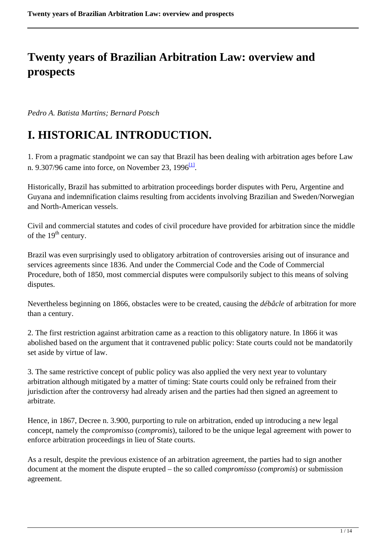### **Twenty years of Brazilian Arbitration Law: overview and prospects**

*Pedro A. Batista Martins; Bernard Potsch*

# **I. HISTORICAL INTRODUCTION.**

1. From a pragmatic standpoint we can say that Brazil has been dealing with arbitration ages before Law n. 9.307/96 came into force, on November 23,  $1996^{\text{Ll}}$ .

Historically, Brazil has submitted to arbitration proceedings border disputes with Peru, Argentine and Guyana and indemnification claims resulting from accidents involving Brazilian and Sweden/Norwegian and North-American vessels.

Civil and commercial statutes and codes of civil procedure have provided for arbitration since the middle of the  $19<sup>th</sup>$  century.

Brazil was even surprisingly used to obligatory arbitration of controversies arising out of insurance and services agreements since 1836. And under the Commercial Code and the Code of Commercial Procedure, both of 1850, most commercial disputes were compulsorily subject to this means of solving disputes.

Nevertheless beginning on 1866, obstacles were to be created, causing the *débâcle* of arbitration for more than a century.

2. The first restriction against arbitration came as a reaction to this obligatory nature. In 1866 it was abolished based on the argument that it contravened public policy: State courts could not be mandatorily set aside by virtue of law.

3. The same restrictive concept of public policy was also applied the very next year to voluntary arbitration although mitigated by a matter of timing: State courts could only be refrained from their jurisdiction after the controversy had already arisen and the parties had then signed an agreement to arbitrate.

Hence, in 1867, Decree n. 3.900, purporting to rule on arbitration, ended up introducing a new legal concept, namely the *compromisso* (*compromis*), tailored to be the unique legal agreement with power to enforce arbitration proceedings in lieu of State courts.

As a result, despite the previous existence of an arbitration agreement, the parties had to sign another document at the moment the dispute erupted – the so called *compromisso* (*compromis*) or submission agreement.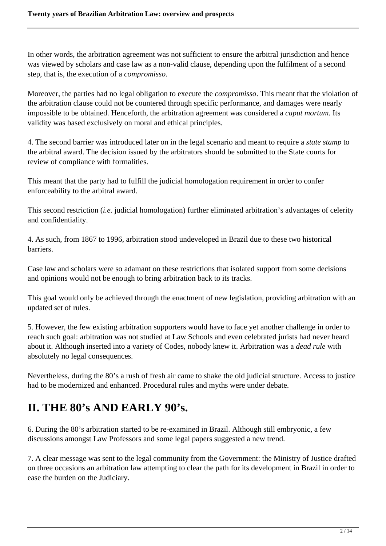In other words, the arbitration agreement was not sufficient to ensure the arbitral jurisdiction and hence was viewed by scholars and case law as a non-valid clause, depending upon the fulfilment of a second step, that is, the execution of a *compromisso*.

Moreover, the parties had no legal obligation to execute the *compromisso*. This meant that the violation of the arbitration clause could not be countered through specific performance, and damages were nearly impossible to be obtained. Henceforth, the arbitration agreement was considered a *caput mortum.* Its validity was based exclusively on moral and ethical principles.

4. The second barrier was introduced later on in the legal scenario and meant to require a *state stamp* to the arbitral award. The decision issued by the arbitrators should be submitted to the State courts for review of compliance with formalities.

This meant that the party had to fulfill the judicial homologation requirement in order to confer enforceability to the arbitral award.

This second restriction (*i.e.* judicial homologation) further eliminated arbitration's advantages of celerity and confidentiality.

4. As such, from 1867 to 1996, arbitration stood undeveloped in Brazil due to these two historical barriers.

Case law and scholars were so adamant on these restrictions that isolated support from some decisions and opinions would not be enough to bring arbitration back to its tracks.

This goal would only be achieved through the enactment of new legislation, providing arbitration with an updated set of rules.

5. However, the few existing arbitration supporters would have to face yet another challenge in order to reach such goal: arbitration was not studied at Law Schools and even celebrated jurists had never heard about it. Although inserted into a variety of Codes, nobody knew it. Arbitration was a *dead rule* with absolutely no legal consequences.

Nevertheless, during the 80's a rush of fresh air came to shake the old judicial structure. Access to justice had to be modernized and enhanced. Procedural rules and myths were under debate.

# **II. THE 80's AND EARLY 90's.**

6. During the 80's arbitration started to be re-examined in Brazil. Although still embryonic, a few discussions amongst Law Professors and some legal papers suggested a new trend.

7. A clear message was sent to the legal community from the Government: the Ministry of Justice drafted on three occasions an arbitration law attempting to clear the path for its development in Brazil in order to ease the burden on the Judiciary.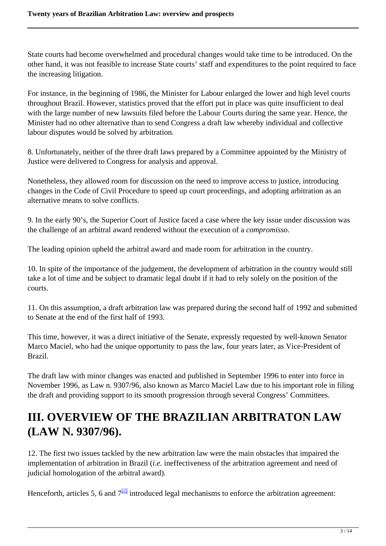State courts had become overwhelmed and procedural changes would take time to be introduced. On the other hand, it was not feasible to increase State courts' staff and expenditures to the point required to face the increasing litigation.

For instance, in the beginning of 1986, the Minister for Labour enlarged the lower and high level courts throughout Brazil. However, statistics proved that the effort put in place was quite insufficient to deal with the large number of new lawsuits filed before the Labour Courts during the same year. Hence, the Minister had no other alternative than to send Congress a draft law whereby individual and collective labour disputes would be solved by arbitration.

8. Unfortunately, neither of the three draft laws prepared by a Committee appointed by the Ministry of Justice were delivered to Congress for analysis and approval.

Nonetheless, they allowed room for discussion on the need to improve access to justice, introducing changes in the Code of Civil Procedure to speed up court proceedings, and adopting arbitration as an alternative means to solve conflicts.

9. In the early 90's, the Superior Court of Justice faced a case where the key issue under discussion was the challenge of an arbitral award rendered without the execution of a *compromisso*.

The leading opinion upheld the arbitral award and made room for arbitration in the country.

10. In spite of the importance of the judgement, the development of arbitration in the country would still take a lot of time and be subject to dramatic legal doubt if it had to rely solely on the position of the courts.

11. On this assumption, a draft arbitration law was prepared during the second half of 1992 and submitted to Senate at the end of the first half of 1993.

This time, however, it was a direct initiative of the Senate, expressly requested by well-known Senator Marco Maciel, who had the unique opportunity to pass the law, four years later, as Vice-President of Brazil.

The draft law with minor changes was enacted and published in September 1996 to enter into force in November 1996, as Law n. 9307/96, also known as Marco Maciel Law due to his important role in filing the draft and providing support to its smooth progression through several Congress' Committees.

### **III. OVERVIEW OF THE BRAZILIAN ARBITRATON LAW (LAW N. 9307/96).**

12. The first two issues tackled by the new arbitration law were the main obstacles that impaired the implementation of arbitration in Brazil (*i.e.* ineffectiveness of the arbitration agreement and need of judicial homologation of the arbitral award).

Henceforth, articles 5, 6 and  $7^{[2]}$  introduced legal mechanisms to enforce the arbitration agreement: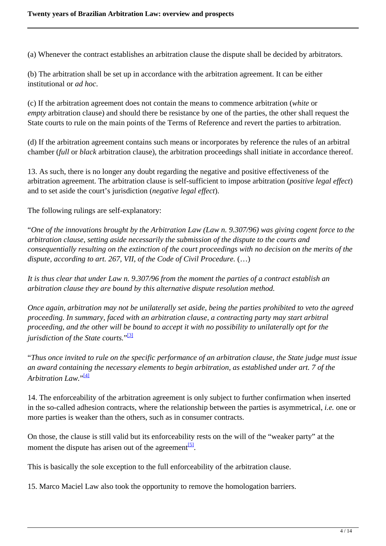(a) Whenever the contract establishes an arbitration clause the dispute shall be decided by arbitrators.

(b) The arbitration shall be set up in accordance with the arbitration agreement. It can be either institutional or *ad hoc*.

(c) If the arbitration agreement does not contain the means to commence arbitration (*white* or *empty* arbitration clause) and should there be resistance by one of the parties, the other shall request the State courts to rule on the main points of the Terms of Reference and revert the parties to arbitration.

(d) If the arbitration agreement contains such means or incorporates by reference the rules of an arbitral chamber (*full* or *black* arbitration clause), the arbitration proceedings shall initiate in accordance thereof.

13. As such, there is no longer any doubt regarding the negative and positive effectiveness of the arbitration agreement. The arbitration clause is self-sufficient to impose arbitration (*positive legal effect*) and to set aside the court's jurisdiction (*negative legal effect*).

The following rulings are self-explanatory:

"*One of the innovations brought by the Arbitration Law (Law n. 9.307/96) was giving cogent force to the arbitration clause, setting aside necessarily the submission of the dispute to the courts and consequentially resulting on the extinction of the court proceedings with no decision on the merits of the* dispute, according to art. 267, VII, of the Code of Civil Procedure.  $(\ldots)$ 

*It is thus clear that under Law n. 9.307/96 from the moment the parties of a contract establish an arbitration clause they are bound by this alternative dispute resolution method.*

*Once again, arbitration may not be unilaterally set aside, being the parties prohibited to veto the agreed proceeding. In summary, faced with an arbitration clause, a contracting party may start arbitral proceeding, and the other will be bound to accept it with no possibility to unilaterally opt for the jurisdiction of the State courts.*" [3]

"*Thus once invited to rule on the specific performance of an arbitration clause, the State judge must issue an award containing the necessary elements to begin arbitration, as established under art. 7 of the Arbitration Law.*" [4]

14. The enforceability of the arbitration agreement is only subject to further confirmation when inserted in the so-called adhesion contracts, where the relationship between the parties is asymmetrical, *i.e.* one or more parties is weaker than the others, such as in consumer contracts.

On those, the clause is still valid but its enforceability rests on the will of the "weaker party" at the moment the dispute has arisen out of the agreement<sup>[5]</sup>.

This is basically the sole exception to the full enforceability of the arbitration clause.

15. Marco Maciel Law also took the opportunity to remove the homologation barriers.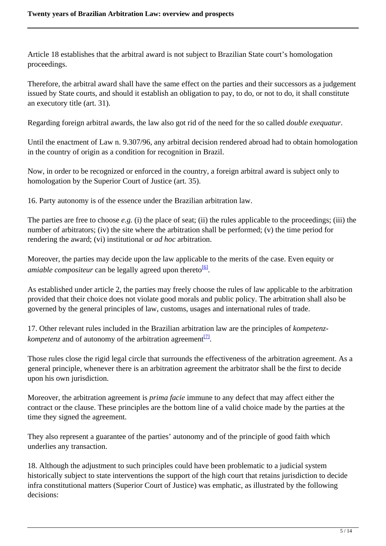Article 18 establishes that the arbitral award is not subject to Brazilian State court's homologation proceedings.

Therefore, the arbitral award shall have the same effect on the parties and their successors as a judgement issued by State courts, and should it establish an obligation to pay, to do, or not to do, it shall constitute an executory title (art. 31).

Regarding foreign arbitral awards, the law also got rid of the need for the so called *double exequatur*.

Until the enactment of Law n. 9.307/96, any arbitral decision rendered abroad had to obtain homologation in the country of origin as a condition for recognition in Brazil.

Now, in order to be recognized or enforced in the country, a foreign arbitral award is subject only to homologation by the Superior Court of Justice (art. 35).

16. Party autonomy is of the essence under the Brazilian arbitration law.

The parties are free to choose *e.g.* (i) the place of seat; (ii) the rules applicable to the proceedings; (iii) the number of arbitrators; (iv) the site where the arbitration shall be performed; (v) the time period for rendering the award; (vi) institutional or *ad hoc* arbitration.

Moreover, the parties may decide upon the law applicable to the merits of the case. Even equity or amiable compositeur can be legally agreed upon thereto<sup>[6]</sup>.

As established under article 2, the parties may freely choose the rules of law applicable to the arbitration provided that their choice does not violate good morals and public policy. The arbitration shall also be governed by the general principles of law, customs, usages and international rules of trade.

17. Other relevant rules included in the Brazilian arbitration law are the principles of *kompetenzkompetenz* and of autonomy of the arbitration agreement<sup>[7]</sup>.

Those rules close the rigid legal circle that surrounds the effectiveness of the arbitration agreement. As a general principle, whenever there is an arbitration agreement the arbitrator shall be the first to decide upon his own jurisdiction.

Moreover, the arbitration agreement is *prima facie* immune to any defect that may affect either the contract or the clause. These principles are the bottom line of a valid choice made by the parties at the time they signed the agreement.

They also represent a guarantee of the parties' autonomy and of the principle of good faith which underlies any transaction.

18. Although the adjustment to such principles could have been problematic to a judicial system historically subject to state interventions the support of the high court that retains jurisdiction to decide infra constitutional matters (Superior Court of Justice) was emphatic, as illustrated by the following decisions: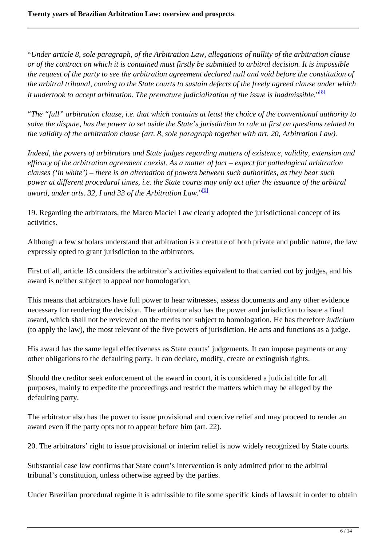"*Under article 8, sole paragraph, of the Arbitration Law, allegations of nullity of the arbitration clause or of the contract on which it is contained must firstly be submitted to arbitral decision. It is impossible the request of the party to see the arbitration agreement declared null and void before the constitution of the arbitral tribunal, coming to the State courts to sustain defects of the freely agreed clause under which it undertook to accept arbitration. The premature judicialization of the issue is inadmissible.*" [8]

"*The "full" arbitration clause, i.e. that which contains at least the choice of the conventional authority to solve the dispute, has the power to set aside the State's jurisdiction to rule at first on questions related to the validity of the arbitration clause (art. 8, sole paragraph together with art. 20, Arbitration Law).*

*Indeed, the powers of arbitrators and State judges regarding matters of existence, validity, extension and efficacy of the arbitration agreement coexist. As a matter of fact – expect for pathological arbitration clauses ('in white') – there is an alternation of powers between such authorities, as they bear such power at different procedural times, i.e. the State courts may only act after the issuance of the arbitral award, under arts. 32, I and 33 of the Arbitration Law.*" [9]

19. Regarding the arbitrators, the Marco Maciel Law clearly adopted the jurisdictional concept of its activities.

Although a few scholars understand that arbitration is a creature of both private and public nature, the law expressly opted to grant jurisdiction to the arbitrators.

First of all, article 18 considers the arbitrator's activities equivalent to that carried out by judges, and his award is neither subject to appeal nor homologation.

This means that arbitrators have full power to hear witnesses, assess documents and any other evidence necessary for rendering the decision. The arbitrator also has the power and jurisdiction to issue a final award, which shall not be reviewed on the merits nor subject to homologation. He has therefore *iudicium* (to apply the law), the most relevant of the five powers of jurisdiction. He acts and functions as a judge.

His award has the same legal effectiveness as State courts' judgements. It can impose payments or any other obligations to the defaulting party. It can declare, modify, create or extinguish rights.

Should the creditor seek enforcement of the award in court, it is considered a judicial title for all purposes, mainly to expedite the proceedings and restrict the matters which may be alleged by the defaulting party.

The arbitrator also has the power to issue provisional and coercive relief and may proceed to render an award even if the party opts not to appear before him (art. 22).

20. The arbitrators' right to issue provisional or interim relief is now widely recognized by State courts.

Substantial case law confirms that State court's intervention is only admitted prior to the arbitral tribunal's constitution, unless otherwise agreed by the parties.

Under Brazilian procedural regime it is admissible to file some specific kinds of lawsuit in order to obtain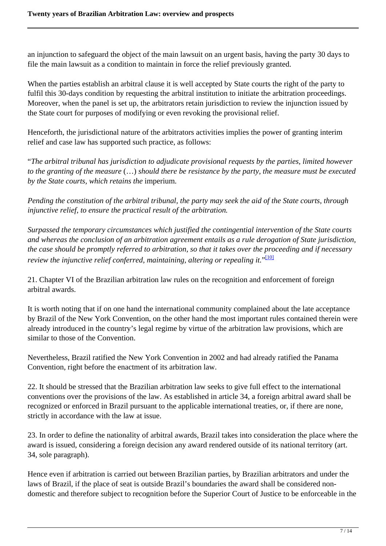an injunction to safeguard the object of the main lawsuit on an urgent basis, having the party 30 days to file the main lawsuit as a condition to maintain in force the relief previously granted.

When the parties establish an arbitral clause it is well accepted by State courts the right of the party to fulfil this 30-days condition by requesting the arbitral institution to initiate the arbitration proceedings. Moreover, when the panel is set up, the arbitrators retain jurisdiction to review the injunction issued by the State court for purposes of modifying or even revoking the provisional relief.

Henceforth, the jurisdictional nature of the arbitrators activities implies the power of granting interim relief and case law has supported such practice, as follows:

"*The arbitral tribunal has jurisdiction to adjudicate provisional requests by the parties, limited however to the granting of the measure* (…) *should there be resistance by the party, the measure must be executed by the State courts, which retains the* imperium*.*

*Pending the constitution of the arbitral tribunal, the party may seek the aid of the State courts, through injunctive relief, to ensure the practical result of the arbitration.*

*Surpassed the temporary circumstances which justified the contingential intervention of the State courts and whereas the conclusion of an arbitration agreement entails as a rule derogation of State jurisdiction, the case should be promptly referred to arbitration, so that it takes over the proceeding and if necessary review the injunctive relief conferred, maintaining, altering or repealing it.*" [10]

21. Chapter VI of the Brazilian arbitration law rules on the recognition and enforcement of foreign arbitral awards.

It is worth noting that if on one hand the international community complained about the late acceptance by Brazil of the New York Convention, on the other hand the most important rules contained therein were already introduced in the country's legal regime by virtue of the arbitration law provisions, which are similar to those of the Convention.

Nevertheless, Brazil ratified the New York Convention in 2002 and had already ratified the Panama Convention, right before the enactment of its arbitration law.

22. It should be stressed that the Brazilian arbitration law seeks to give full effect to the international conventions over the provisions of the law. As established in article 34, a foreign arbitral award shall be recognized or enforced in Brazil pursuant to the applicable international treaties, or, if there are none, strictly in accordance with the law at issue.

23. In order to define the nationality of arbitral awards, Brazil takes into consideration the place where the award is issued, considering a foreign decision any award rendered outside of its national territory (art. 34, sole paragraph).

Hence even if arbitration is carried out between Brazilian parties, by Brazilian arbitrators and under the laws of Brazil, if the place of seat is outside Brazil's boundaries the award shall be considered nondomestic and therefore subject to recognition before the Superior Court of Justice to be enforceable in the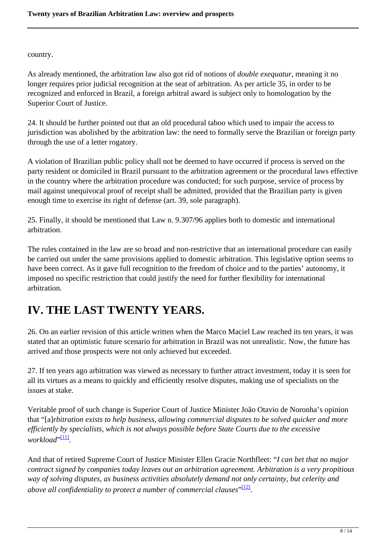country.

As already mentioned, the arbitration law also got rid of notions of *double exequatur*, meaning it no longer requires prior judicial recognition at the seat of arbitration. As per article 35, in order to be recognized and enforced in Brazil, a foreign arbitral award is subject only to homologation by the Superior Court of Justice.

24. It should be further pointed out that an old procedural taboo which used to impair the access to jurisdiction was abolished by the arbitration law: the need to formally serve the Brazilian or foreign party through the use of a letter rogatory.

A violation of Brazilian public policy shall not be deemed to have occurred if process is served on the party resident or domiciled in Brazil pursuant to the arbitration agreement or the procedural laws effective in the country where the arbitration procedure was conducted; for such purpose, service of process by mail against unequivocal proof of receipt shall be admitted, provided that the Brazilian party is given enough time to exercise its right of defense (art. 39, sole paragraph).

25. Finally, it should be mentioned that Law n. 9.307/96 applies both to domestic and international arbitration.

The rules contained in the law are so broad and non-restrictive that an international procedure can easily be carried out under the same provisions applied to domestic arbitration. This legislative option seems to have been correct. As it gave full recognition to the freedom of choice and to the parties' autonomy, it imposed no specific restriction that could justify the need for further flexibility for international arbitration.

### **IV. THE LAST TWENTY YEARS.**

26. On an earlier revision of this article written when the Marco Maciel Law reached its ten years, it was stated that an optimistic future scenario for arbitration in Brazil was not unrealistic. Now, the future has arrived and those prospects were not only achieved but exceeded.

27. If ten years ago arbitration was viewed as necessary to further attract investment, today it is seen for all its virtues as a means to quickly and efficiently resolve disputes, making use of specialists on the issues at stake.

Veritable proof of such change is Superior Court of Justice Minister João Otavio de Noronha's opinion that "[a]*rbitration exists to help business, allowing commercial disputes to be solved quicker and more efficiently by specialists, which is not always possible before State Courts due to the excessive workload*" [11] *.*

And that of retired Supreme Court of Justice Minister Ellen Gracie Northfleet: "*I can bet that no major contract signed by companies today leaves out an arbitration agreement. Arbitration is a very propitious way of solving disputes, as business activities absolutely demand not only certainty, but celerity and* above all confidentiality to protect a number of commercial clauses" [12].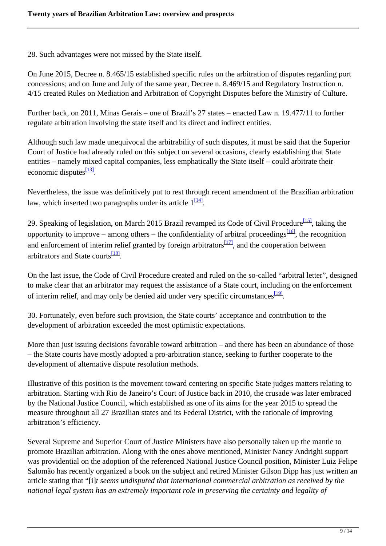28. Such advantages were not missed by the State itself.

On June 2015, Decree n. 8.465/15 established specific rules on the arbitration of disputes regarding port concessions; and on June and July of the same year, Decree n. 8.469/15 and Regulatory Instruction n. 4/15 created Rules on Mediation and Arbitration of Copyright Disputes before the Ministry of Culture.

Further back, on 2011, Minas Gerais – one of Brazil's 27 states – enacted Law n. 19.477/11 to further regulate arbitration involving the state itself and its direct and indirect entities.

Although such law made unequivocal the arbitrability of such disputes, it must be said that the Superior Court of Justice had already ruled on this subject on several occasions, clearly establishing that State entities – namely mixed capital companies, less emphatically the State itself – could arbitrate their economic disputes<sup>[13]</sup>.

Nevertheless, the issue was definitively put to rest through recent amendment of the Brazilian arbitration law, which inserted two paragraphs under its article  $1^{[141]}$ .

29. Speaking of legislation, on March 2015 Brazil revamped its Code of Civil Procedure<sup>[15]</sup>, taking the opportunity to improve – among others – the confidentiality of arbitral proceedings $\frac{16}{6}$ , the recognition and enforcement of interim relief granted by foreign arbitrators $\frac{1171}{11}$ , and the cooperation between arbitrators and State courts<sup>[18]</sup>.

On the last issue, the Code of Civil Procedure created and ruled on the so-called "arbitral letter", designed to make clear that an arbitrator may request the assistance of a State court, including on the enforcement of interim relief, and may only be denied aid under very specific circumstances<sup>[19]</sup>.

30. Fortunately, even before such provision, the State courts' acceptance and contribution to the development of arbitration exceeded the most optimistic expectations.

More than just issuing decisions favorable toward arbitration – and there has been an abundance of those – the State courts have mostly adopted a pro-arbitration stance, seeking to further cooperate to the development of alternative dispute resolution methods.

Illustrative of this position is the movement toward centering on specific State judges matters relating to arbitration. Starting with Rio de Janeiro's Court of Justice back in 2010, the crusade was later embraced by the National Justice Council, which established as one of its aims for the year 2015 to spread the measure throughout all 27 Brazilian states and its Federal District, with the rationale of improving arbitration's efficiency.

Several Supreme and Superior Court of Justice Ministers have also personally taken up the mantle to promote Brazilian arbitration. Along with the ones above mentioned, Minister Nancy Andrighi support was providential on the adoption of the referenced National Justice Council position, Minister Luiz Felipe Salomão has recently organized a book on the subject and retired Minister Gilson Dipp has just written an article stating that "[i]*t seems undisputed that international commercial arbitration as received by the national legal system has an extremely important role in preserving the certainty and legality of*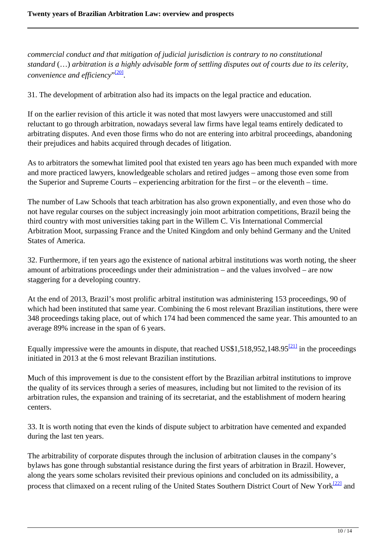*commercial conduct and that mitigation of judicial jurisdiction is contrary to no constitutional standard* (…) *arbitration is a highly advisable form of settling disputes out of courts due to its celerity,* convenience and efficiency"<sup>.[20]</sup>.

31. The development of arbitration also had its impacts on the legal practice and education.

If on the earlier revision of this article it was noted that most lawyers were unaccustomed and still reluctant to go through arbitration, nowadays several law firms have legal teams entirely dedicated to arbitrating disputes. And even those firms who do not are entering into arbitral proceedings, abandoning their prejudices and habits acquired through decades of litigation.

As to arbitrators the somewhat limited pool that existed ten years ago has been much expanded with more and more practiced lawyers, knowledgeable scholars and retired judges – among those even some from the Superior and Supreme Courts – experiencing arbitration for the first – or the eleventh – time.

The number of Law Schools that teach arbitration has also grown exponentially, and even those who do not have regular courses on the subject increasingly join moot arbitration competitions, Brazil being the third country with most universities taking part in the Willem C. Vis International Commercial Arbitration Moot, surpassing France and the United Kingdom and only behind Germany and the United States of America.

32. Furthermore, if ten years ago the existence of national arbitral institutions was worth noting, the sheer amount of arbitrations proceedings under their administration – and the values involved – are now staggering for a developing country.

At the end of 2013, Brazil's most prolific arbitral institution was administering 153 proceedings, 90 of which had been instituted that same year. Combining the 6 most relevant Brazilian institutions, there were 348 proceedings taking place, out of which 174 had been commenced the same year. This amounted to an average 89% increase in the span of 6 years.

Equally impressive were the amounts in dispute, that reached US\$1,518,952,148.95 $\frac{[21]}{21}$  in the proceedings initiated in 2013 at the 6 most relevant Brazilian institutions.

Much of this improvement is due to the consistent effort by the Brazilian arbitral institutions to improve the quality of its services through a series of measures, including but not limited to the revision of its arbitration rules, the expansion and training of its secretariat, and the establishment of modern hearing centers.

33. It is worth noting that even the kinds of dispute subject to arbitration have cemented and expanded during the last ten years.

The arbitrability of corporate disputes through the inclusion of arbitration clauses in the company's bylaws has gone through substantial resistance during the first years of arbitration in Brazil. However, along the years some scholars revisited their previous opinions and concluded on its admissibility, a process that climaxed on a recent ruling of the United States Southern District Court of New York<sup>[22]</sup> and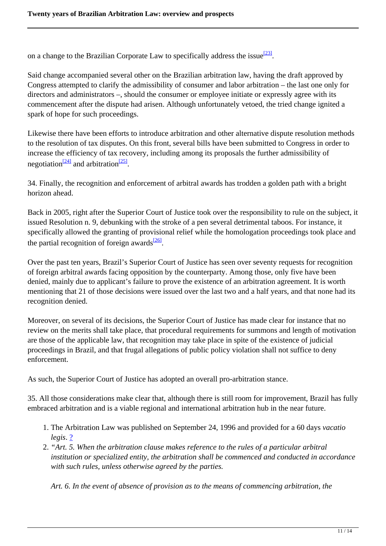on a change to the Brazilian Corporate Law to specifically address the issue<sup>[23]</sup>.

Said change accompanied several other on the Brazilian arbitration law, having the draft approved by Congress attempted to clarify the admissibility of consumer and labor arbitration – the last one only for directors and administrators –, should the consumer or employee initiate or expressly agree with its commencement after the dispute had arisen. Although unfortunately vetoed, the tried change ignited a spark of hope for such proceedings.

Likewise there have been efforts to introduce arbitration and other alternative dispute resolution methods to the resolution of tax disputes. On this front, several bills have been submitted to Congress in order to increase the efficiency of tax recovery, including among its proposals the further admissibility of negotiation<sup>[24]</sup> and arbitration<sup>[25]</sup>.

34. Finally, the recognition and enforcement of arbitral awards has trodden a golden path with a bright horizon ahead.

Back in 2005, right after the Superior Court of Justice took over the responsibility to rule on the subject, it issued Resolution n. 9, debunking with the stroke of a pen several detrimental taboos. For instance, it specifically allowed the granting of provisional relief while the homologation proceedings took place and the partial recognition of foreign awards<sup>[26]</sup>.

Over the past ten years, Brazil's Superior Court of Justice has seen over seventy requests for recognition of foreign arbitral awards facing opposition by the counterparty. Among those, only five have been denied, mainly due to applicant's failure to prove the existence of an arbitration agreement. It is worth mentioning that 21 of those decisions were issued over the last two and a half years, and that none had its recognition denied.

Moreover, on several of its decisions, the Superior Court of Justice has made clear for instance that no review on the merits shall take place, that procedural requirements for summons and length of motivation are those of the applicable law, that recognition may take place in spite of the existence of judicial proceedings in Brazil, and that frugal allegations of public policy violation shall not suffice to deny enforcement.

As such, the Superior Court of Justice has adopted an overall pro-arbitration stance.

35. All those considerations make clear that, although there is still room for improvement, Brazil has fully embraced arbitration and is a viable regional and international arbitration hub in the near future.

- 1. The Arbitration Law was published on September 24, 1996 and provided for a 60 days *vacatio legis*. ?
- 2. *"Art. 5. When the arbitration clause makes reference to the rules of a particular arbitral institution or specialized entity, the arbitration shall be commenced and conducted in accordance with such rules, unless otherwise agreed by the parties.*

*Art. 6. In the event of absence of provision as to the means of commencing arbitration, the*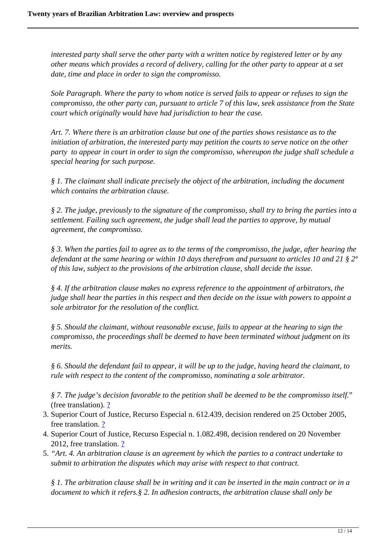*interested party shall serve the other party with a written notice by registered letter or by any other means which provides a record of delivery, calling for the other party to appear at a set date, time and place in order to sign the compromisso.*

*Sole Paragraph. Where the party to whom notice is served fails to appear or refuses to sign the compromisso, the other party can, pursuant to article 7 of this law, seek assistance from the State court which originally would have had jurisdiction to hear the case.*

*Art. 7. Where there is an arbitration clause but one of the parties shows resistance as to the initiation of arbitration, the interested party may petition the courts to serve notice on the other party to appear in court in order to sign the compromisso, whereupon the judge shall schedule a special hearing for such purpose.*

*§ 1. The claimant shall indicate precisely the object of the arbitration, including the document which contains the arbitration clause.*

*§ 2. The judge, previously to the signature of the compromisso, shall try to bring the parties into a settlement. Failing such agreement, the judge shall lead the parties to approve, by mutual agreement, the compromisso.*

*§ 3. When the parties fail to agree as to the terms of the compromisso, the judge, after hearing the defendant at the same hearing or within 10 days therefrom and pursuant to articles 10 and 21 § 2º of this law, subject to the provisions of the arbitration clause, shall decide the issue.*

*§ 4. If the arbitration clause makes no express reference to the appointment of arbitrators, the judge shall hear the parties in this respect and then decide on the issue with powers to appoint a sole arbitrator for the resolution of the conflict.*

*§ 5. Should the claimant, without reasonable excuse, fails to appear at the hearing to sign the compromisso, the proceedings shall be deemed to have been terminated without judgment on its merits.*

*§ 6. Should the defendant fail to appear, it will be up to the judge, having heard the claimant, to rule with respect to the content of the compromisso, nominating a sole arbitrator.*

*§ 7. The judge's decision favorable to the petition shall be deemed to be the compromisso itself.*" (free translation).  $\frac{?}{?}$ 

- 3. Superior Court of Justice, Recurso Especial n. 612.439, decision rendered on 25 October 2005, free translation. ?
- 4. Superior Court of Justice, Recurso Especial n. 1.082.498, decision rendered on 20 November 2012, free translation. ?
- 5. *"Art. 4. An arbitration clause is an agreement by which the parties to a contract undertake to submit to arbitration the disputes which may arise with respect to that contract.*

*§ 1. The arbitration clause shall be in writing and it can be inserted in the main contract or in a document to which it refers.§ 2. In adhesion contracts, the arbitration clause shall only be*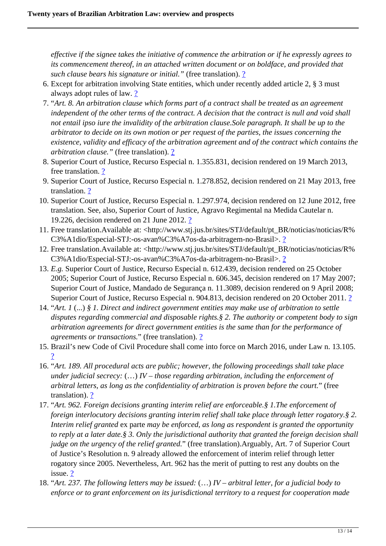*effective if the signee takes the initiative of commence the arbitration or if he expressly agrees to its commencement thereof, in an attached written document or on boldface, and provided that such clause bears his signature or initial.*" (free translation). <u>?</u>

- 6. Except for arbitration involving State entities, which under recently added article 2, § 3 must always adopt rules of law. 2
- 7. "*Art. 8. An arbitration clause which forms part of a contract shall be treated as an agreement independent of the other terms of the contract. A decision that the contract is null and void shall not entail ipso iure the invalidity of the arbitration clause.Sole paragraph. It shall be up to the arbitrator to decide on its own motion or per request of the parties, the issues concerning the existence, validity and efficacy of the arbitration agreement and of the contract which contains the arbitration clause."* (free translation). ?
- 8. Superior Court of Justice, Recurso Especial n. 1.355.831, decision rendered on 19 March 2013, free translation. ?
- 9. Superior Court of Justice, Recurso Especial n. 1.278.852, decision rendered on 21 May 2013, free translation. ?
- 10. Superior Court of Justice, Recurso Especial n. 1.297.974, decision rendered on 12 June 2012, free translation. See, also, Superior Court of Justice, Agravo Regimental na Medida Cautelar n. 19.226, decision rendered on 21 June 2012. ?
- 11. Free translation.Available at: <http://www.stj.jus.br/sites/STJ/default/pt\_BR/noticias/noticias/R% C3%A1dio/Especial-STJ:-os-avan%C3%A7os-da-arbitragem-no-Brasil>. ?
- 12. Free translation.Available at: <http://www.stj.jus.br/sites/STJ/default/pt\_BR/noticias/noticias/R% C3%A1dio/Especial-STJ:-os-avan%C3%A7os-da-arbitragem-no-Brasil>. ?
- 13. *E.g.* Superior Court of Justice, Recurso Especial n. 612.439, decision rendered on 25 October 2005; Superior Court of Justice, Recurso Especial n. 606.345, decision rendered on 17 May 2007; Superior Court of Justice, Mandado de Segurança n. 11.3089, decision rendered on 9 April 2008; Superior Court of Justice, Recurso Especial n. 904.813, decision rendered on 20 October 2011. 2
- 14. "*Art. 1* (...) *§ 1. Direct and indirect government entities may make use of arbitration to settle disputes regarding commercial and disposable rights.§ 2. The authority or competent body to sign arbitration agreements for direct government entities is the same than for the performance of agreements or transactions.*" (free translation). 2
- 15. Brazil's new Code of Civil Procedure shall come into force on March 2016, under Law n. 13.105. ?
- 16. "*Art. 189. All procedural acts are public; however, the following proceedings shall take place under judicial secrecy:* (…) *IV – those regarding arbitration, including the enforcement of arbitral letters, as long as the confidentiality of arbitration is proven before the court.*" (free translation). ?
- 17. "*Art. 962. Foreign decisions granting interim relief are enforceable.§ 1.The enforcement of foreign interlocutory decisions granting interim relief shall take place through letter rogatory.§ 2. Interim relief granted* ex parte *may be enforced, as long as respondent is granted the opportunity to reply at a later date.§ 3. Only the jurisdictional authority that granted the foreign decision shall judge on the urgency of the relief granted.*" (free translation).Arguably, Art. 7 of Superior Court of Justice's Resolution n. 9 already allowed the enforcement of interim relief through letter rogatory since 2005. Nevertheless, Art. 962 has the merit of putting to rest any doubts on the issue. ?
- 18. "*Art. 237. The following letters may be issued:* (…) *IV arbitral letter, for a judicial body to enforce or to grant enforcement on its jurisdictional territory to a request for cooperation made*